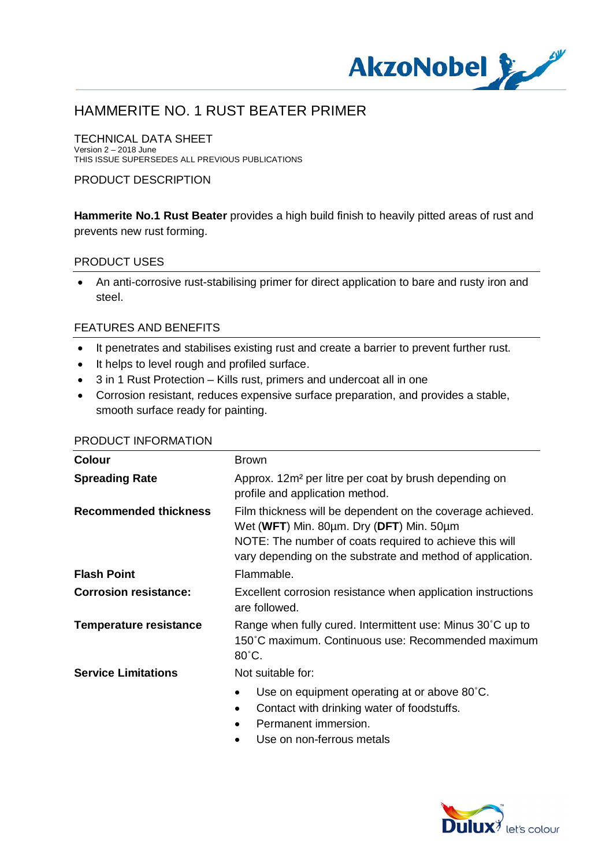

TECHNICAL DATA SHEET Version 2 – 2018 June THIS ISSUE SUPERSEDES ALL PREVIOUS PUBLICATIONS

### PRODUCT DESCRIPTION

**Hammerite No.1 Rust Beater** provides a high build finish to heavily pitted areas of rust and prevents new rust forming.

#### PRODUCT USES

· An anti-corrosive rust-stabilising primer for direct application to bare and rusty iron and steel.

### FEATURES AND BENEFITS

- · It penetrates and stabilises existing rust and create a barrier to prevent further rust.
- · It helps to level rough and profiled surface.
- · 3 in 1 Rust Protection Kills rust, primers and undercoat all in one
- · Corrosion resistant, reduces expensive surface preparation, and provides a stable, smooth surface ready for painting.

| <b>Colour</b>                 | <b>Brown</b>                                                                                                                                                                                                                    |
|-------------------------------|---------------------------------------------------------------------------------------------------------------------------------------------------------------------------------------------------------------------------------|
| <b>Spreading Rate</b>         | Approx. 12m <sup>2</sup> per litre per coat by brush depending on<br>profile and application method.                                                                                                                            |
| <b>Recommended thickness</b>  | Film thickness will be dependent on the coverage achieved.<br>Wet (WFT) Min. 80um. Dry (DFT) Min. 50um<br>NOTE: The number of coats required to achieve this will<br>vary depending on the substrate and method of application. |
| <b>Flash Point</b>            | Flammable.                                                                                                                                                                                                                      |
| <b>Corrosion resistance:</b>  | Excellent corrosion resistance when application instructions<br>are followed.                                                                                                                                                   |
| <b>Temperature resistance</b> | Range when fully cured. Intermittent use: Minus 30°C up to<br>150°C maximum. Continuous use: Recommended maximum<br>$80^{\circ}$ C.                                                                                             |
| <b>Service Limitations</b>    | Not suitable for:                                                                                                                                                                                                               |
|                               | Use on equipment operating at or above 80°C.<br>Contact with drinking water of foodstuffs.<br>Permanent immersion.                                                                                                              |

#### PRODUCT INFORMATION

Use on non-ferrous metals

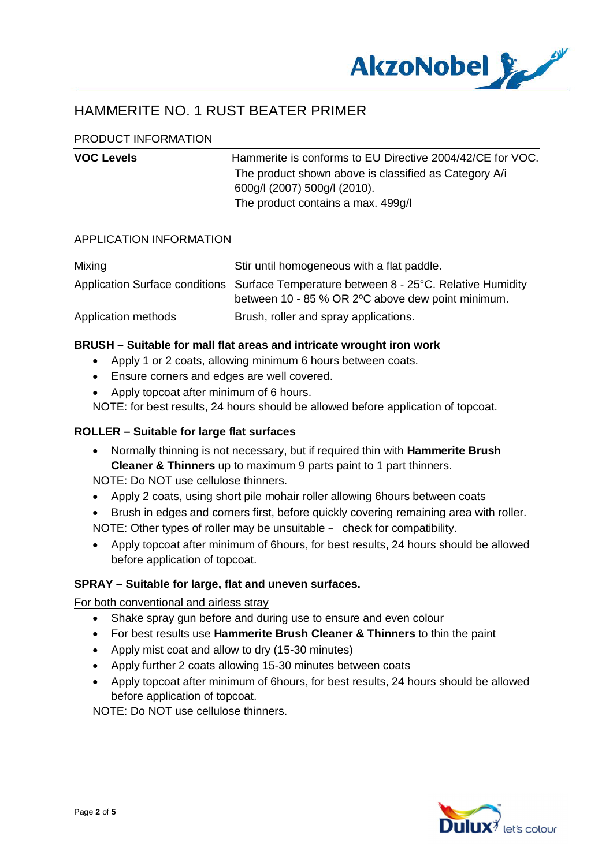

## PRODUCT INFORMATION

| <b>VOC Levels</b> | Hammerite is conforms to EU Directive 2004/42/CE for VOC. |
|-------------------|-----------------------------------------------------------|
|                   | The product shown above is classified as Category A/i     |
|                   | 600g/l (2007) 500g/l (2010).                              |
|                   | The product contains a max. 499g/l                        |
|                   |                                                           |

### APPLICATION INFORMATION

| Mixing              | Stir until homogeneous with a flat paddle.                                                                                                   |
|---------------------|----------------------------------------------------------------------------------------------------------------------------------------------|
|                     | Application Surface conditions Surface Temperature between 8 - 25°C. Relative Humidity<br>between 10 - 85 % OR 2 °C above dew point minimum. |
| Application methods | Brush, roller and spray applications.                                                                                                        |

#### **BRUSH – Suitable for mall flat areas and intricate wrought iron work**

- · Apply 1 or 2 coats, allowing minimum 6 hours between coats.
- · Ensure corners and edges are well covered.
- · Apply topcoat after minimum of 6 hours.

NOTE: for best results, 24 hours should be allowed before application of topcoat.

## **ROLLER – Suitable for large flat surfaces**

· Normally thinning is not necessary, but if required thin with **Hammerite Brush Cleaner & Thinners** up to maximum 9 parts paint to 1 part thinners. NOTE: Do NOT use cellulose thinners.

· Apply 2 coats, using short pile mohair roller allowing 6hours between coats

- · Brush in edges and corners first, before quickly covering remaining area with roller. NOTE: Other types of roller may be unsuitable – check for compatibility.
- · Apply topcoat after minimum of 6hours, for best results, 24 hours should be allowed before application of topcoat.

## **SPRAY – Suitable for large, flat and uneven surfaces.**

For both conventional and airless stray

- · Shake spray gun before and during use to ensure and even colour
- · For best results use **Hammerite Brush Cleaner & Thinners** to thin the paint
- Apply mist coat and allow to dry (15-30 minutes)
- · Apply further 2 coats allowing 15-30 minutes between coats
- · Apply topcoat after minimum of 6hours, for best results, 24 hours should be allowed before application of topcoat.

NOTE: Do NOT use cellulose thinners.

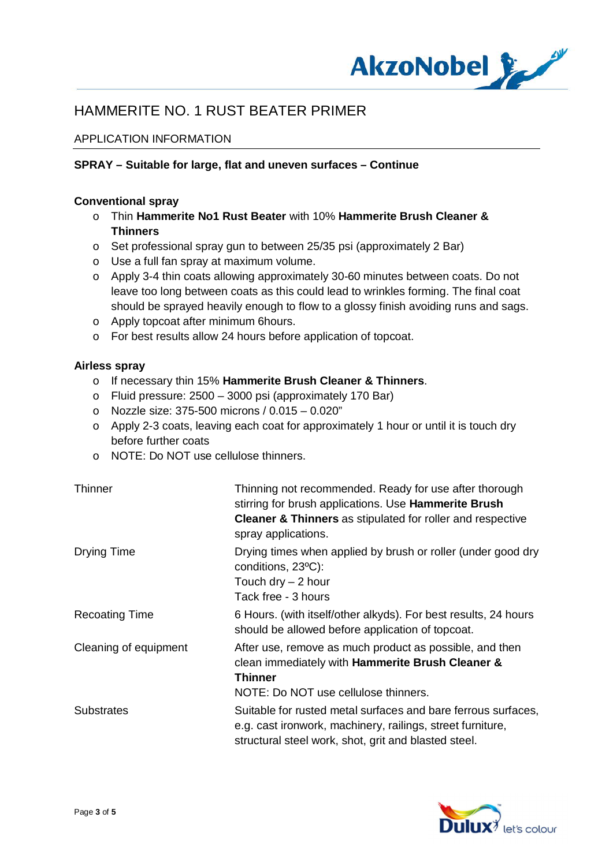

## APPLICATION INFORMATION

## **SPRAY – Suitable for large, flat and uneven surfaces – Continue**

### **Conventional spray**

- o Thin **Hammerite No1 Rust Beater** with 10% **Hammerite Brush Cleaner & Thinners**
- o Set professional spray gun to between 25/35 psi (approximately 2 Bar)
- o Use a full fan spray at maximum volume.
- o Apply 3-4 thin coats allowing approximately 30-60 minutes between coats. Do not leave too long between coats as this could lead to wrinkles forming. The final coat should be sprayed heavily enough to flow to a glossy finish avoiding runs and sags.
- o Apply topcoat after minimum 6hours.
- o For best results allow 24 hours before application of topcoat.

### **Airless spray**

- o If necessary thin 15% **Hammerite Brush Cleaner & Thinners**.
- o Fluid pressure: 2500 3000 psi (approximately 170 Bar)
- o Nozzle size: 375-500 microns / 0.015 0.020"
- o Apply 2-3 coats, leaving each coat for approximately 1 hour or until it is touch dry before further coats
- o NOTE: Do NOT use cellulose thinners.

| <b>Thinner</b>        | Thinning not recommended. Ready for use after thorough<br>stirring for brush applications. Use <b>Hammerite Brush</b><br><b>Cleaner &amp; Thinners</b> as stipulated for roller and respective<br>spray applications. |
|-----------------------|-----------------------------------------------------------------------------------------------------------------------------------------------------------------------------------------------------------------------|
| Drying Time           | Drying times when applied by brush or roller (under good dry<br>conditions, 23°C):<br>Touch dry $-2$ hour<br>Tack free - 3 hours                                                                                      |
| <b>Recoating Time</b> | 6 Hours. (with itself/other alkyds). For best results, 24 hours<br>should be allowed before application of topcoat.                                                                                                   |
| Cleaning of equipment | After use, remove as much product as possible, and then<br>clean immediately with Hammerite Brush Cleaner &<br><b>Thinner</b><br>NOTE: Do NOT use cellulose thinners.                                                 |
| <b>Substrates</b>     | Suitable for rusted metal surfaces and bare ferrous surfaces,<br>e.g. cast ironwork, machinery, railings, street furniture,<br>structural steel work, shot, grit and blasted steel.                                   |

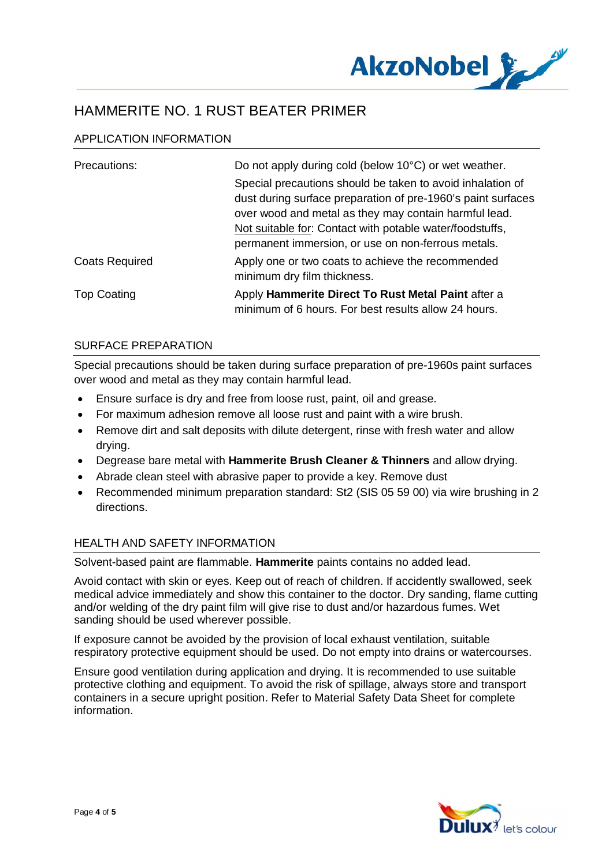

## APPLICATION INFORMATION

| Precautions:          | Do not apply during cold (below 10°C) or wet weather.                                                                                                                                                                                           |
|-----------------------|-------------------------------------------------------------------------------------------------------------------------------------------------------------------------------------------------------------------------------------------------|
|                       | Special precautions should be taken to avoid inhalation of<br>dust during surface preparation of pre-1960's paint surfaces<br>over wood and metal as they may contain harmful lead.<br>Not suitable for: Contact with potable water/foodstuffs, |
|                       | permanent immersion, or use on non-ferrous metals.                                                                                                                                                                                              |
| <b>Coats Required</b> | Apply one or two coats to achieve the recommended<br>minimum dry film thickness.                                                                                                                                                                |
| <b>Top Coating</b>    | Apply Hammerite Direct To Rust Metal Paint after a<br>minimum of 6 hours. For best results allow 24 hours.                                                                                                                                      |

### SURFACE PREPARATION

Special precautions should be taken during surface preparation of pre-1960s paint surfaces over wood and metal as they may contain harmful lead.

- · Ensure surface is dry and free from loose rust, paint, oil and grease.
- · For maximum adhesion remove all loose rust and paint with a wire brush.
- Remove dirt and salt deposits with dilute detergent, rinse with fresh water and allow drying.
- · Degrease bare metal with **Hammerite Brush Cleaner & Thinners** and allow drying.
- · Abrade clean steel with abrasive paper to provide a key. Remove dust
- · Recommended minimum preparation standard: St2 (SIS 05 59 00) via wire brushing in 2 directions.

### HEALTH AND SAFETY INFORMATION

Solvent-based paint are flammable. **Hammerite** paints contains no added lead.

Avoid contact with skin or eyes. Keep out of reach of children. If accidently swallowed, seek medical advice immediately and show this container to the doctor. Dry sanding, flame cutting and/or welding of the dry paint film will give rise to dust and/or hazardous fumes. Wet sanding should be used wherever possible.

If exposure cannot be avoided by the provision of local exhaust ventilation, suitable respiratory protective equipment should be used. Do not empty into drains or watercourses.

Ensure good ventilation during application and drying. It is recommended to use suitable protective clothing and equipment. To avoid the risk of spillage, always store and transport containers in a secure upright position. Refer to Material Safety Data Sheet for complete information.